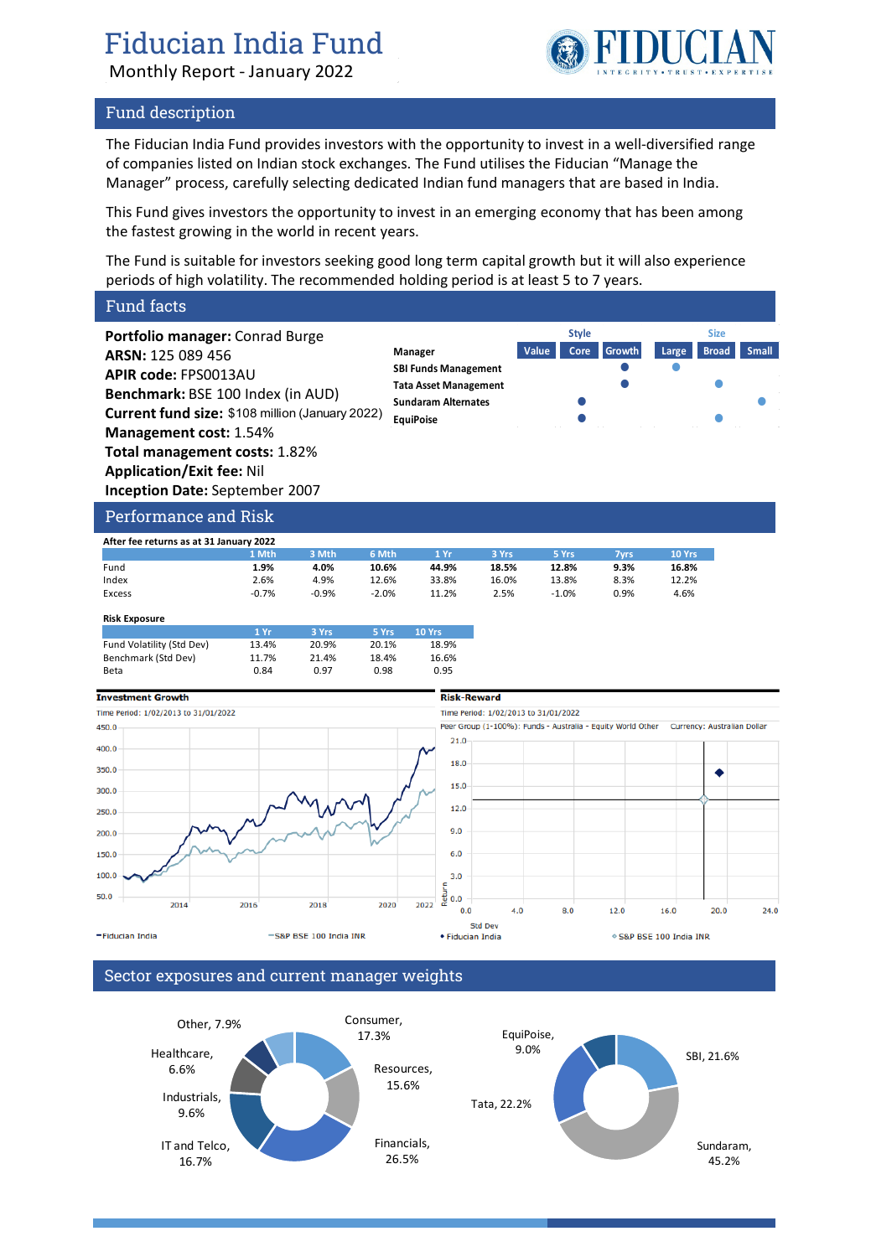# Fiducian India Fund

Monthly Report - January 2022



### Fund description

The Fiducian India Fund provides investors with the opportunity to invest in a well-diversified range of companies listed on Indian stock exchanges. The Fund utilises the Fiducian "Manage the Manager" process, carefully selecting dedicated Indian fund managers that are based in India.

This Fund gives investors the opportunity to invest in an emerging economy that has been among the fastest growing in the world in recent years.

The Fund is suitable for investors seeking good long term capital growth but it will also experience periods of high volatility. The recommended holding period is at least 5 to 7 years.

### Fund facts

**Portfolio manager:** Conrad Burge **ARSN:** 125 089 456 **APIR code:** FPS0013AU **Benchmark:** BSE 100 Index (in AUD) **Current fund size:** \$108 million (January 2022) **Management cost:** 1.54% **Total management costs:** 1.82% **Application/Exit fee:** Nil **Inception Date:** September 2007





Performance and Risk

| After fee returns as at 31 January 2022 |         |         |         |       |       |         |      |        |
|-----------------------------------------|---------|---------|---------|-------|-------|---------|------|--------|
|                                         | 1 Mth   | 3 Mth   | 6 Mth   | 1 Yr  | 3 Yrs | 5 Yrs   | /vrs | 10 Yrs |
| Fund                                    | 1.9%    | 4.0%    | 10.6%   | 44.9% | 18.5% | 12.8%   | 9.3% | 16.8%  |
| Index                                   | 2.6%    | 4.9%    | 12.6%   | 33.8% | 16.0% | 13.8%   | 8.3% | 12.2%  |
| Excess                                  | $-0.7%$ | $-0.9%$ | $-2.0%$ | 11.2% | 2.5%  | $-1.0%$ | 0.9% | 4.6%   |

| <b>Risk Exposure</b>      |       |       |       |               |
|---------------------------|-------|-------|-------|---------------|
|                           | 1Yr   | 3 Yrs | 5 Yrs | <b>10 Yrs</b> |
| Fund Volatility (Std Dev) | 13.4% | 20.9% | 20.1% | 18.9%         |
| Benchmark (Std Dev)       | 11.7% | 21.4% | 18.4% | 16.6%         |
| Beta                      | 0.84  | 0.97  | 0.98  | 0.95          |



### Sector exposures and current manager weights